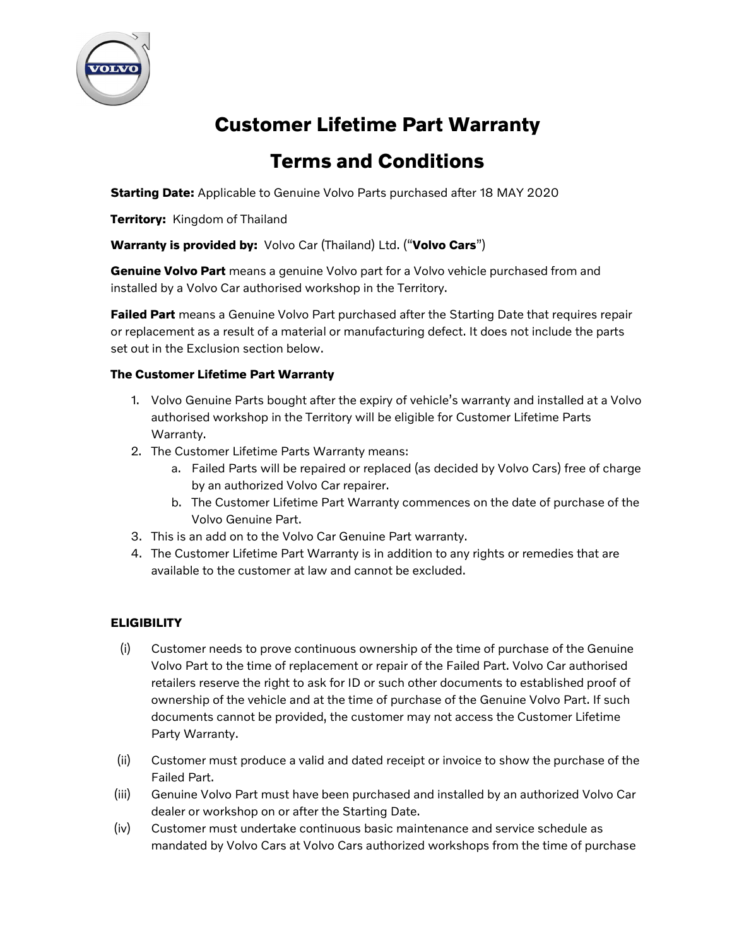

# Customer Lifetime Part Warranty

## Terms and Conditions

Starting Date: Applicable to Genuine Volvo Parts purchased after 18 MAY 2020

**Territory: Kingdom of Thailand** 

Warranty is provided by: Volvo Car (Thailand) Ltd. ("Volvo Cars")

Genuine Volvo Part means a genuine Volvo part for a Volvo vehicle purchased from and installed by a Volvo Car authorised workshop in the Territory.

Failed Part means a Genuine Volvo Part purchased after the Starting Date that requires repair or replacement as a result of a material or manufacturing defect. It does not include the parts set out in the Exclusion section below.

#### The Customer Lifetime Part Warranty

- 1. Volvo Genuine Parts bought after the expiry of vehicle's warranty and installed at a Volvo authorised workshop in the Territory will be eligible for Customer Lifetime Parts Warranty.
- 2. The Customer Lifetime Parts Warranty means:
	- a. Failed Parts will be repaired or replaced (as decided by Volvo Cars) free of charge by an authorized Volvo Car repairer.
	- b. The Customer Lifetime Part Warranty commences on the date of purchase of the Volvo Genuine Part.
- 3. This is an add on to the Volvo Car Genuine Part warranty.
- 4. The Customer Lifetime Part Warranty is in addition to any rights or remedies that are available to the customer at law and cannot be excluded.

### **ELIGIBILITY**

- (i) Customer needs to prove continuous ownership of the time of purchase of the Genuine Volvo Part to the time of replacement or repair of the Failed Part. Volvo Car authorised retailers reserve the right to ask for ID or such other documents to established proof of ownership of the vehicle and at the time of purchase of the Genuine Volvo Part. If such documents cannot be provided, the customer may not access the Customer Lifetime Party Warranty.
- (ii) Customer must produce a valid and dated receipt or invoice to show the purchase of the Failed Part.
- (iii) Genuine Volvo Part must have been purchased and installed by an authorized Volvo Car dealer or workshop on or after the Starting Date.
- (iv) Customer must undertake continuous basic maintenance and service schedule as mandated by Volvo Cars at Volvo Cars authorized workshops from the time of purchase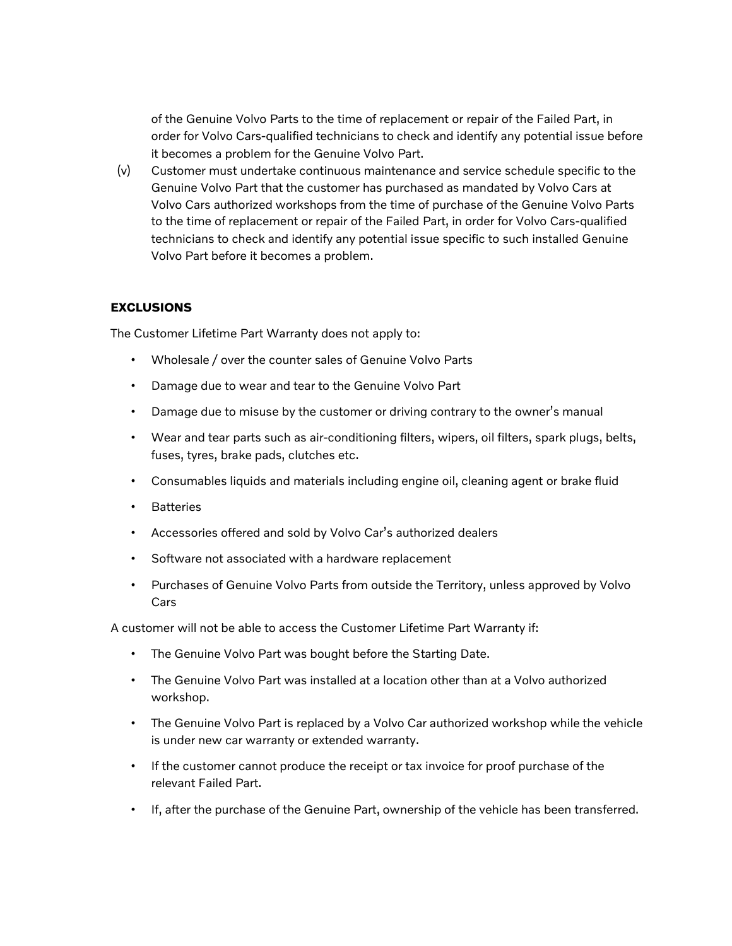of the Genuine Volvo Parts to the time of replacement or repair of the Failed Part, in order for Volvo Cars-qualified technicians to check and identify any potential issue before it becomes a problem for the Genuine Volvo Part.

(v) Customer must undertake continuous maintenance and service schedule specific to the Genuine Volvo Part that the customer has purchased as mandated by Volvo Cars at Volvo Cars authorized workshops from the time of purchase of the Genuine Volvo Parts to the time of replacement or repair of the Failed Part, in order for Volvo Cars-qualified technicians to check and identify any potential issue specific to such installed Genuine Volvo Part before it becomes a problem.

#### **EXCLUSIONS**

The Customer Lifetime Part Warranty does not apply to:

- Wholesale / over the counter sales of Genuine Volvo Parts
- Damage due to wear and tear to the Genuine Volvo Part
- Damage due to misuse by the customer or driving contrary to the owner's manual
- Wear and tear parts such as air-conditioning filters, wipers, oil filters, spark plugs, belts, fuses, tyres, brake pads, clutches etc.
- Consumables liquids and materials including engine oil, cleaning agent or brake fluid
- Batteries
- Accessories offered and sold by Volvo Car's authorized dealers
- Software not associated with a hardware replacement
- Purchases of Genuine Volvo Parts from outside the Territory, unless approved by Volvo Cars

A customer will not be able to access the Customer Lifetime Part Warranty if:

- The Genuine Volvo Part was bought before the Starting Date.
- The Genuine Volvo Part was installed at a location other than at a Volvo authorized workshop.
- The Genuine Volvo Part is replaced by a Volvo Car authorized workshop while the vehicle is under new car warranty or extended warranty.
- If the customer cannot produce the receipt or tax invoice for proof purchase of the relevant Failed Part.
- If, after the purchase of the Genuine Part, ownership of the vehicle has been transferred.